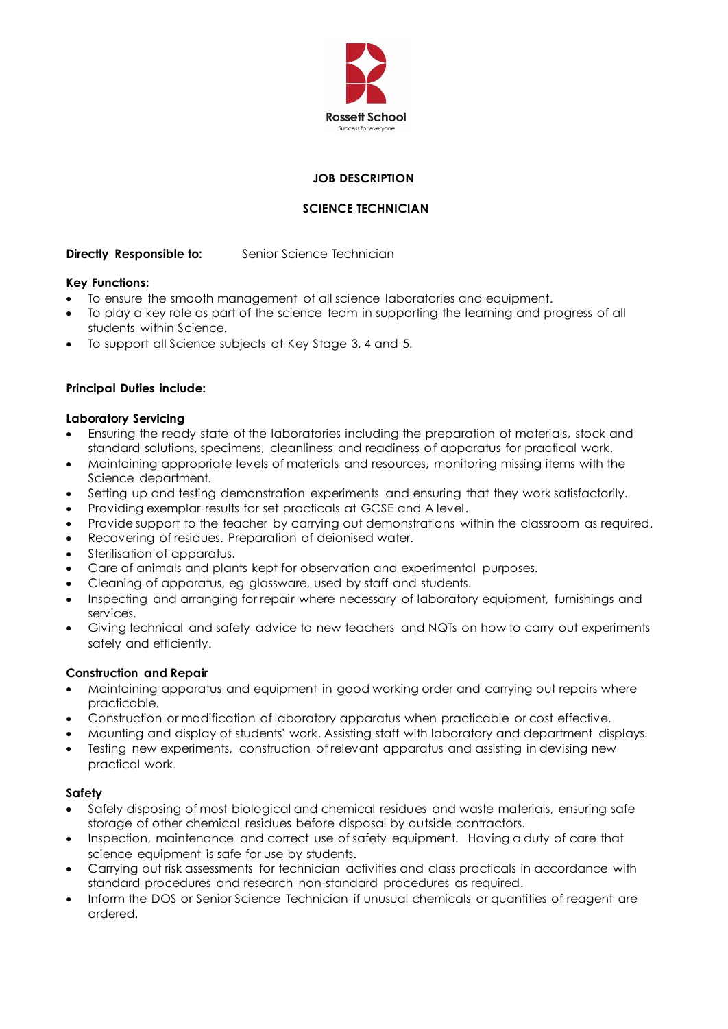

## **JOB DESCRIPTION**

# **SCIENCE TECHNICIAN**

## **Directly Responsible to:** Senior Science Technician

#### **Key Functions:**

- To ensure the smooth management of all science laboratories and equipment.
- To play a key role as part of the science team in supporting the learning and progress of all students within Science.
- To support all Science subjects at Key Stage 3, 4 and 5.

#### **Principal Duties include:**

#### **Laboratory Servicing**

- Ensuring the ready state of the laboratories including the preparation of materials, stock and standard solutions, specimens, cleanliness and readiness of apparatus for practical work.
- Maintaining appropriate levels of materials and resources, monitoring missing items with the Science department.
- Setting up and testing demonstration experiments and ensuring that they work satisfactorily.
- Providing exemplar results for set practicals at GCSE and A level.
- Provide support to the teacher by carrying out demonstrations within the classroom as required.
- Recovering of residues. Preparation of deionised water.
- Sterilisation of apparatus.
- Care of animals and plants kept for observation and experimental purposes.
- Cleaning of apparatus, eg glassware, used by staff and students.
- Inspecting and arranging for repair where necessary of laboratory equipment, furnishings and services.
- Giving technical and safety advice to new teachers and NQTs on how to carry out experiments safely and efficiently.

#### **Construction and Repair**

- Maintaining apparatus and equipment in good working order and carrying out repairs where practicable.
- Construction or modification of laboratory apparatus when practicable or cost effective.
- Mounting and display of students' work. Assisting staff with laboratory and department displays.
- Testing new experiments, construction of relevant apparatus and assisting in devising new practical work.

#### **Safety**

- Safely disposing of most biological and chemical residues and waste materials, ensuring safe storage of other chemical residues before disposal by outside contractors.
- Inspection, maintenance and correct use of safety equipment. Having a duty of care that science equipment is safe for use by students.
- Carrying out risk assessments for technician activities and class practicals in accordance with standard procedures and research non-standard procedures as required.
- Inform the DOS or Senior Science Technician if unusual chemicals or quantities of reagent are ordered.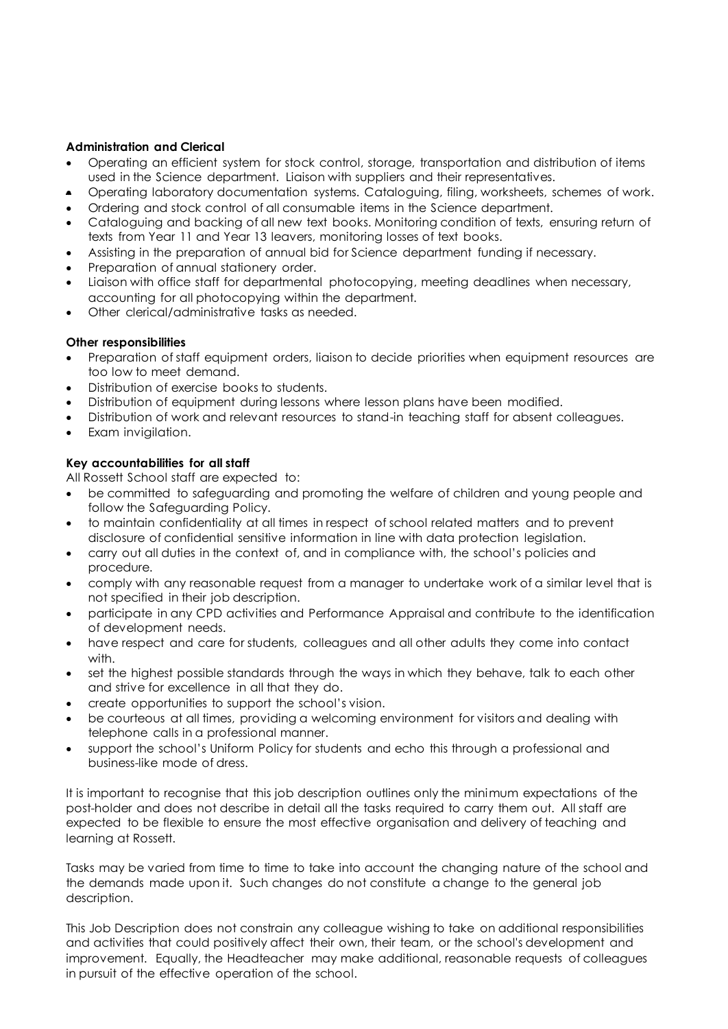## **Administration and Clerical**

- Operating an efficient system for stock control, storage, transportation and distribution of items used in the Science department. Liaison with suppliers and their representatives.
- Operating laboratory documentation systems. Cataloguing, filing, worksheets, schemes of work.
- Ordering and stock control of all consumable items in the Science department.
- Cataloguing and backing of all new text books. Monitoring condition of texts, ensuring return of texts from Year 11 and Year 13 leavers, monitoring losses of text books.
- Assisting in the preparation of annual bid for Science department funding if necessary.
- Preparation of annual stationery order.
- Liaison with office staff for departmental photocopying, meeting deadlines when necessary, accounting for all photocopying within the department.
- Other clerical/administrative tasks as needed.

#### **Other responsibilities**

- Preparation of staff equipment orders, liaison to decide priorities when equipment resources are too low to meet demand.
- Distribution of exercise books to students.
- Distribution of equipment during lessons where lesson plans have been modified.
- Distribution of work and relevant resources to stand-in teaching staff for absent colleagues.
- Exam invigilation.

## **Key accountabilities for all staff**

All Rossett School staff are expected to:

- be committed to safeguarding and promoting the welfare of children and young people and follow the Safeguarding Policy.
- to maintain confidentiality at all times in respect of school related matters and to prevent disclosure of confidential sensitive information in line with data protection legislation.
- carry out all duties in the context of, and in compliance with, the school's policies and procedure.
- comply with any reasonable request from a manager to undertake work of a similar level that is not specified in their job description.
- participate in any CPD activities and Performance Appraisal and contribute to the identification of development needs.
- have respect and care for students, colleagues and all other adults they come into contact with.
- set the highest possible standards through the ways in which they behave, talk to each other and strive for excellence in all that they do.
- create opportunities to support the school's vision.
- be courteous at all times, providing a welcoming environment for visitors and dealing with telephone calls in a professional manner.
- support the school's Uniform Policy for students and echo this through a professional and business-like mode of dress.

It is important to recognise that this job description outlines only the minimum expectations of the post-holder and does not describe in detail all the tasks required to carry them out. All staff are expected to be flexible to ensure the most effective organisation and delivery of teaching and learning at Rossett.

Tasks may be varied from time to time to take into account the changing nature of the school and the demands made upon it. Such changes do not constitute a change to the general job description.

This Job Description does not constrain any colleague wishing to take on additional responsibilities and activities that could positively affect their own, their team, or the school's development and improvement. Equally, the Headteacher may make additional, reasonable requests of colleagues in pursuit of the effective operation of the school.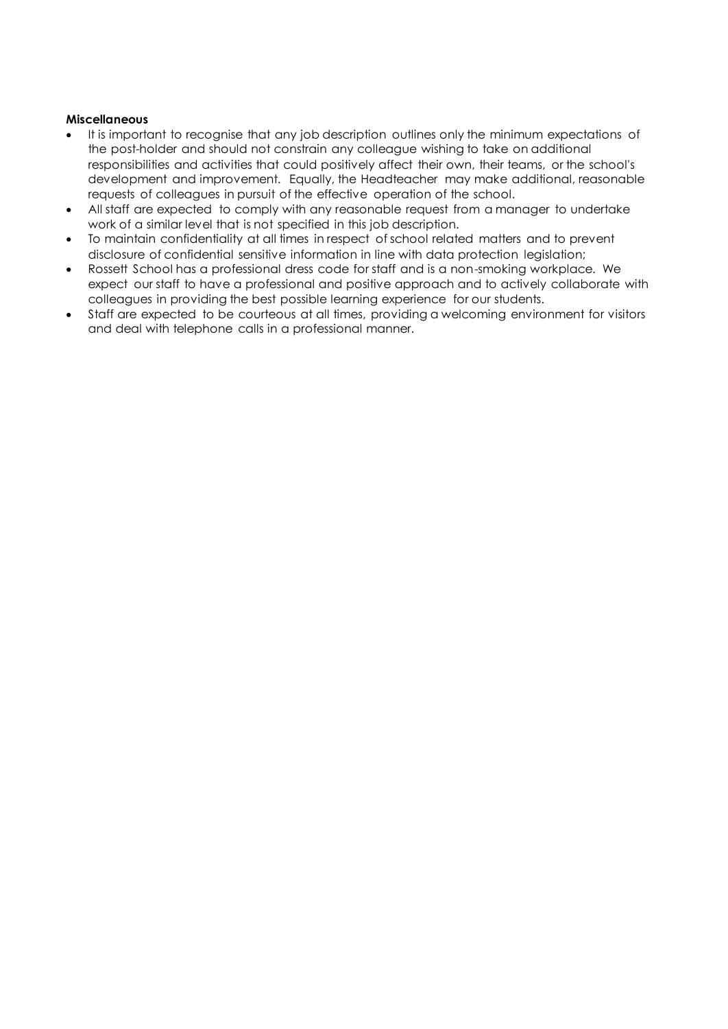### **Miscellaneous**

- It is important to recognise that any job description outlines only the minimum expectations of the post-holder and should not constrain any colleague wishing to take on additional responsibilities and activities that could positively affect their own, their teams, or the school's development and improvement. Equally, the Headteacher may make additional, reasonable requests of colleagues in pursuit of the effective operation of the school.
- All staff are expected to comply with any reasonable request from a manager to undertake work of a similar level that is not specified in this job description.
- To maintain confidentiality at all times in respect of school related matters and to prevent disclosure of confidential sensitive information in line with data protection legislation;
- Rossett School has a professional dress code for staff and is a non-smoking workplace. We expect our staff to have a professional and positive approach and to actively collaborate with colleagues in providing the best possible learning experience for our students.
- Staff are expected to be courteous at all times, providing a welcoming environment for visitors and deal with telephone calls in a professional manner.